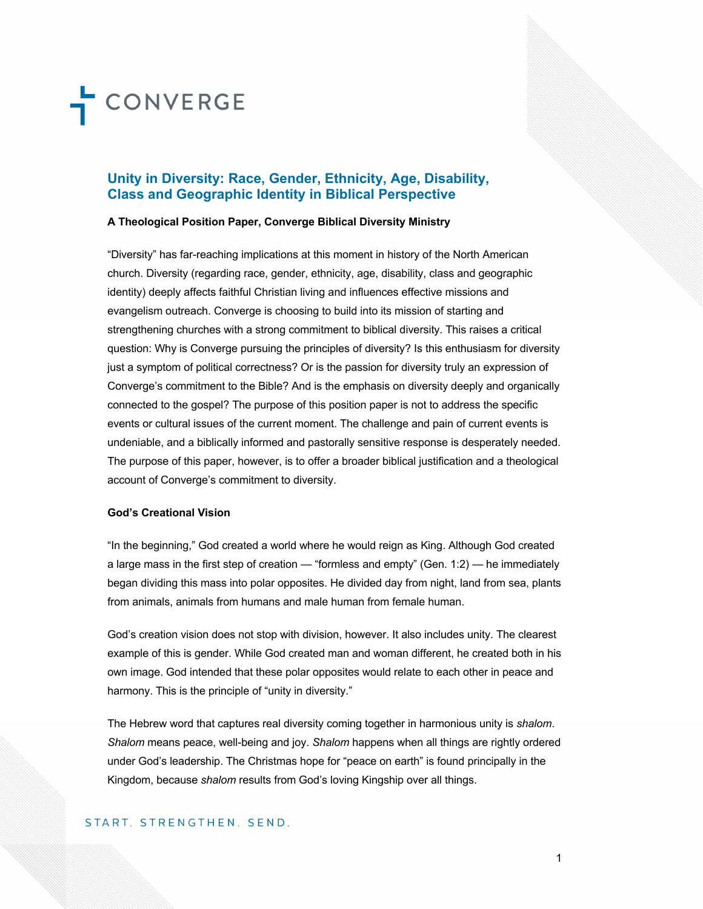### **Unity in Diversity: Race, Gender, Ethnicity, Age, Disability, Class and Geographic Identity in Biblical Perspective**

#### **A Theological Position Paper, Converge Biblical Diversity Ministry**

"Diversity" has far-reaching implications at this moment in history of the North American church. Diversity (regarding race, gender, ethnicity, age, disability, class and geographic identity) deeply affects faithful Christian living and influences effective missions and evangelism outreach. Converge is choosing to build into its mission of starting and strengthening churches with a strong commitment to biblical diversity. This raises a critical question: Why is Converge pursuing the principles of diversity? Is this enthusiasm for diversity just a symptom of political correctness? Or is the passion for diversity truly an expression of Converge's commitment to the Bible? And is the emphasis on diversity deeply and organically connected to the gospel? The purpose of this position paper is not to address the specific events or cultural issues of the current moment. The challenge and pain of current events is undeniable, and a biblically informed and pastorally sensitive response is desperately needed. The purpose of this paper, however, is to offer a broader biblical justification and a theological account of Converge's commitment to diversity.

### **God's Creational Vision**

"In the beginning," God created a world where he would reign as King. Although God created a large mass in the first step of creation — "formless and empty" (Gen. 1:2) — he immediately began dividing this mass into polar opposites. He divided day from night, land from sea, plants from animals, animals from humans and male human from female human.

God's creation vision does not stop with division, however. It also includes unity. The clearest example of this is gender. While God created man and woman different, he created both in his own image. God intended that these polar opposites would relate to each other in peace and harmony. This is the principle of "unity in diversity."

The Hebrew word that captures real diversity coming together in harmonious unity is *shalom*. *Shalom* means peace, well-being and joy. *Shalom* happens when all things are rightly ordered under God's leadership. The Christmas hope for "peace on earth" is found principally in the Kingdom, because *shalom* results from God's loving Kingship over all things.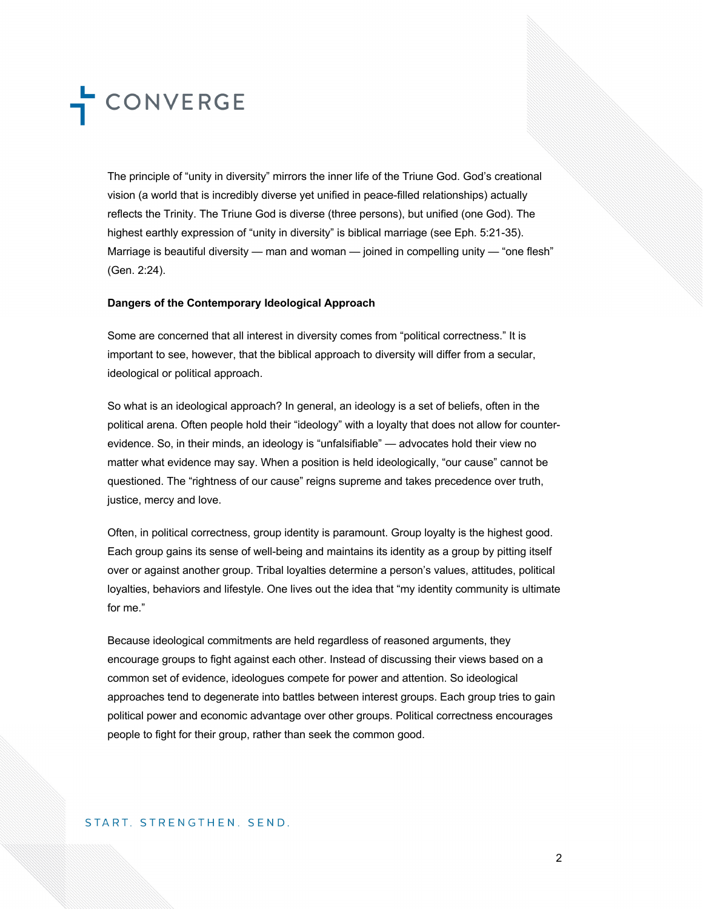The principle of "unity in diversity" mirrors the inner life of the Triune God. God's creational vision (a world that is incredibly diverse yet unified in peace-filled relationships) actually reflects the Trinity. The Triune God is diverse (three persons), but unified (one God). The highest earthly expression of "unity in diversity" is biblical marriage (see Eph. 5:21-35). Marriage is beautiful diversity — man and woman — joined in compelling unity — "one flesh" (Gen. 2:24).

### **Dangers of the Contemporary Ideological Approach**

Some are concerned that all interest in diversity comes from "political correctness." It is important to see, however, that the biblical approach to diversity will differ from a secular, ideological or political approach.

So what is an ideological approach? In general, an ideology is a set of beliefs, often in the political arena. Often people hold their "ideology" with a loyalty that does not allow for counterevidence. So, in their minds, an ideology is "unfalsifiable" — advocates hold their view no matter what evidence may say. When a position is held ideologically, "our cause" cannot be questioned. The "rightness of our cause" reigns supreme and takes precedence over truth, justice, mercy and love.

Often, in political correctness, group identity is paramount. Group loyalty is the highest good. Each group gains its sense of well-being and maintains its identity as a group by pitting itself over or against another group. Tribal loyalties determine a person's values, attitudes, political loyalties, behaviors and lifestyle. One lives out the idea that "my identity community is ultimate for me."

Because ideological commitments are held regardless of reasoned arguments, they encourage groups to fight against each other. Instead of discussing their views based on a common set of evidence, ideologues compete for power and attention. So ideological approaches tend to degenerate into battles between interest groups. Each group tries to gain political power and economic advantage over other groups. Political correctness encourages people to fight for their group, rather than seek the common good.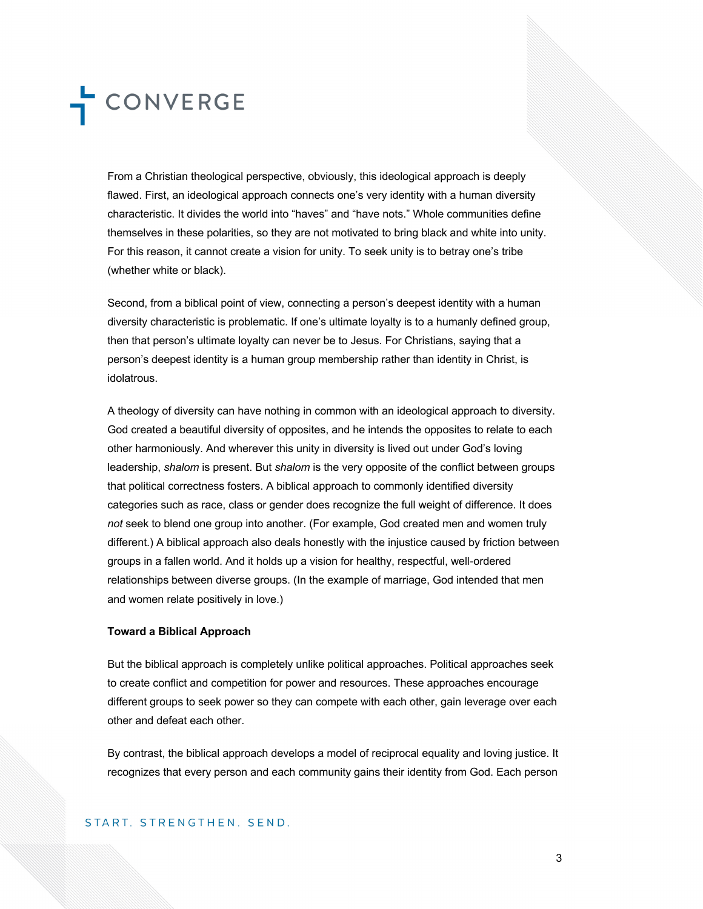From a Christian theological perspective, obviously, this ideological approach is deeply flawed. First, an ideological approach connects one's very identity with a human diversity characteristic. It divides the world into "haves" and "have nots." Whole communities define themselves in these polarities, so they are not motivated to bring black and white into unity. For this reason, it cannot create a vision for unity. To seek unity is to betray one's tribe (whether white or black).

Second, from a biblical point of view, connecting a person's deepest identity with a human diversity characteristic is problematic. If one's ultimate loyalty is to a humanly defined group, then that person's ultimate loyalty can never be to Jesus. For Christians, saying that a person's deepest identity is a human group membership rather than identity in Christ, is idolatrous.

A theology of diversity can have nothing in common with an ideological approach to diversity. God created a beautiful diversity of opposites, and he intends the opposites to relate to each other harmoniously. And wherever this unity in diversity is lived out under God's loving leadership, *shalom* is present. But *shalom* is the very opposite of the conflict between groups that political correctness fosters. A biblical approach to commonly identified diversity categories such as race, class or gender does recognize the full weight of difference. It does *not* seek to blend one group into another. (For example, God created men and women truly different.) A biblical approach also deals honestly with the injustice caused by friction between groups in a fallen world. And it holds up a vision for healthy, respectful, well-ordered relationships between diverse groups. (In the example of marriage, God intended that men and women relate positively in love.)

#### **Toward a Biblical Approach**

But the biblical approach is completely unlike political approaches. Political approaches seek to create conflict and competition for power and resources. These approaches encourage different groups to seek power so they can compete with each other, gain leverage over each other and defeat each other.

By contrast, the biblical approach develops a model of reciprocal equality and loving justice. It recognizes that every person and each community gains their identity from God. Each person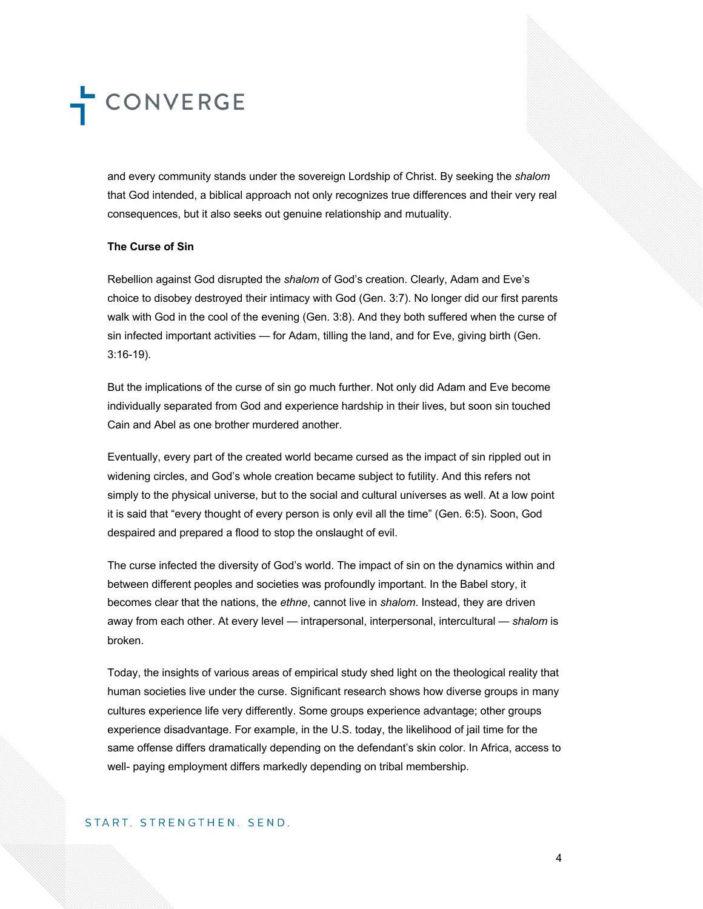and every community stands under the sovereign Lordship of Christ. By seeking the *shalom*  that God intended, a biblical approach not only recognizes true differences and their very real consequences, but it also seeks out genuine relationship and mutuality.

### **The Curse of Sin**

Rebellion against God disrupted the *shalom* of God's creation. Clearly, Adam and Eve's choice to disobey destroyed their intimacy with God (Gen. 3:7). No longer did our first parents walk with God in the cool of the evening (Gen. 3:8). And they both suffered when the curse of sin infected important activities — for Adam, tilling the land, and for Eve, giving birth (Gen. 3:16-19).

But the implications of the curse of sin go much further. Not only did Adam and Eve become individually separated from God and experience hardship in their lives, but soon sin touched Cain and Abel as one brother murdered another.

Eventually, every part of the created world became cursed as the impact of sin rippled out in widening circles, and God's whole creation became subject to futility. And this refers not simply to the physical universe, but to the social and cultural universes as well. At a low point it is said that "every thought of every person is only evil all the time" (Gen. 6:5). Soon, God despaired and prepared a flood to stop the onslaught of evil.

The curse infected the diversity of God's world. The impact of sin on the dynamics within and between different peoples and societies was profoundly important. In the Babel story, it becomes clear that the nations, the *ethne*, cannot live in *shalom*. Instead, they are driven away from each other. At every level — intrapersonal, interpersonal, intercultural — *shalom* is broken.

Today, the insights of various areas of empirical study shed light on the theological reality that human societies live under the curse. Significant research shows how diverse groups in many cultures experience life very differently. Some groups experience advantage; other groups experience disadvantage. For example, in the U.S. today, the likelihood of jail time for the same offense differs dramatically depending on the defendant's skin color. In Africa, access to well- paying employment differs markedly depending on tribal membership.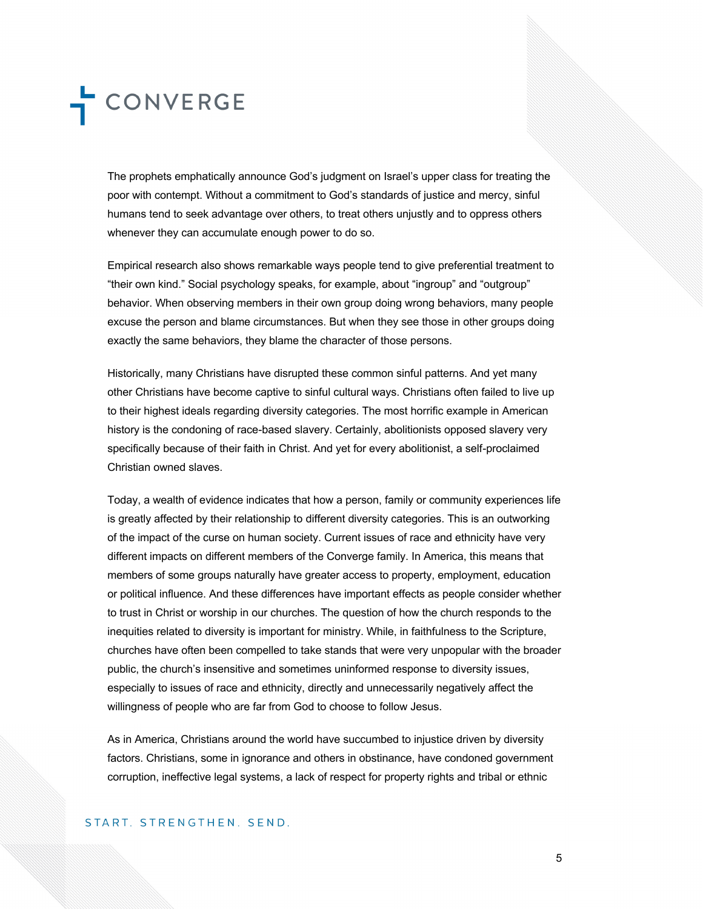The prophets emphatically announce God's judgment on Israel's upper class for treating the poor with contempt. Without a commitment to God's standards of justice and mercy, sinful humans tend to seek advantage over others, to treat others unjustly and to oppress others whenever they can accumulate enough power to do so.

Empirical research also shows remarkable ways people tend to give preferential treatment to "their own kind." Social psychology speaks, for example, about "ingroup" and "outgroup" behavior. When observing members in their own group doing wrong behaviors, many people excuse the person and blame circumstances. But when they see those in other groups doing exactly the same behaviors, they blame the character of those persons.

Historically, many Christians have disrupted these common sinful patterns. And yet many other Christians have become captive to sinful cultural ways. Christians often failed to live up to their highest ideals regarding diversity categories. The most horrific example in American history is the condoning of race-based slavery. Certainly, abolitionists opposed slavery very specifically because of their faith in Christ. And yet for every abolitionist, a self-proclaimed Christian owned slaves.

Today, a wealth of evidence indicates that how a person, family or community experiences life is greatly affected by their relationship to different diversity categories. This is an outworking of the impact of the curse on human society. Current issues of race and ethnicity have very different impacts on different members of the Converge family. In America, this means that members of some groups naturally have greater access to property, employment, education or political influence. And these differences have important effects as people consider whether to trust in Christ or worship in our churches. The question of how the church responds to the inequities related to diversity is important for ministry. While, in faithfulness to the Scripture, churches have often been compelled to take stands that were very unpopular with the broader public, the church's insensitive and sometimes uninformed response to diversity issues, especially to issues of race and ethnicity, directly and unnecessarily negatively affect the willingness of people who are far from God to choose to follow Jesus.

As in America, Christians around the world have succumbed to injustice driven by diversity factors. Christians, some in ignorance and others in obstinance, have condoned government corruption, ineffective legal systems, a lack of respect for property rights and tribal or ethnic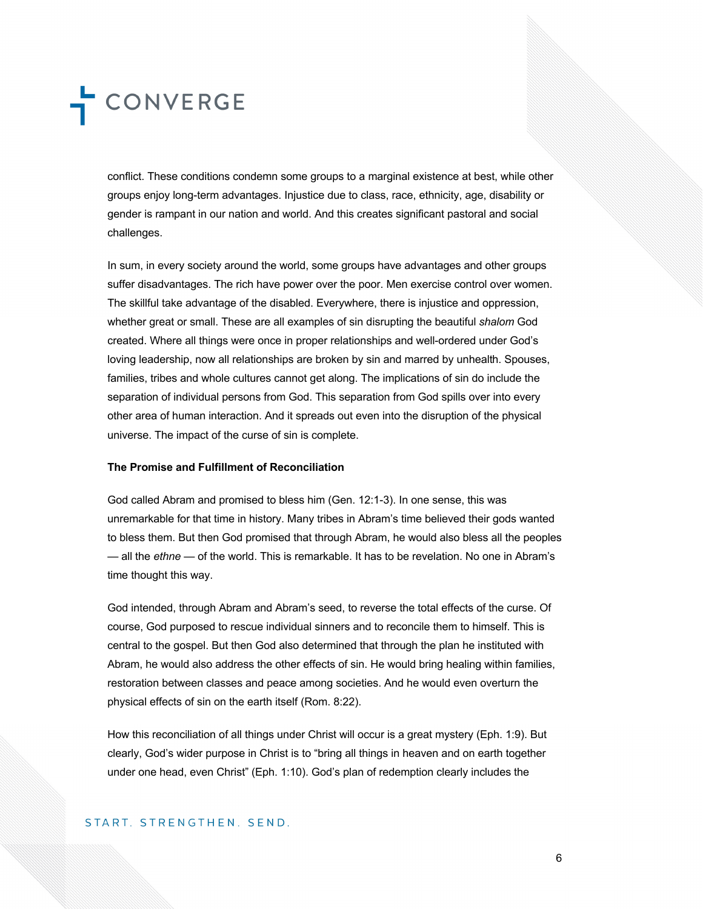conflict. These conditions condemn some groups to a marginal existence at best, while other groups enjoy long-term advantages. Injustice due to class, race, ethnicity, age, disability or gender is rampant in our nation and world. And this creates significant pastoral and social challenges.

In sum, in every society around the world, some groups have advantages and other groups suffer disadvantages. The rich have power over the poor. Men exercise control over women. The skillful take advantage of the disabled. Everywhere, there is injustice and oppression, whether great or small. These are all examples of sin disrupting the beautiful *shalom* God created. Where all things were once in proper relationships and well-ordered under God's loving leadership, now all relationships are broken by sin and marred by unhealth. Spouses, families, tribes and whole cultures cannot get along. The implications of sin do include the separation of individual persons from God. This separation from God spills over into every other area of human interaction. And it spreads out even into the disruption of the physical universe. The impact of the curse of sin is complete.

#### **The Promise and Fulfillment of Reconciliation**

God called Abram and promised to bless him (Gen. 12:1-3). In one sense, this was unremarkable for that time in history. Many tribes in Abram's time believed their gods wanted to bless them. But then God promised that through Abram, he would also bless all the peoples — all the *ethne* — of the world. This is remarkable. It has to be revelation. No one in Abram's time thought this way.

God intended, through Abram and Abram's seed, to reverse the total effects of the curse. Of course, God purposed to rescue individual sinners and to reconcile them to himself. This is central to the gospel. But then God also determined that through the plan he instituted with Abram, he would also address the other effects of sin. He would bring healing within families, restoration between classes and peace among societies. And he would even overturn the physical effects of sin on the earth itself (Rom. 8:22).

How this reconciliation of all things under Christ will occur is a great mystery (Eph. 1:9). But clearly, God's wider purpose in Christ is to "bring all things in heaven and on earth together under one head, even Christ" (Eph. 1:10). God's plan of redemption clearly includes the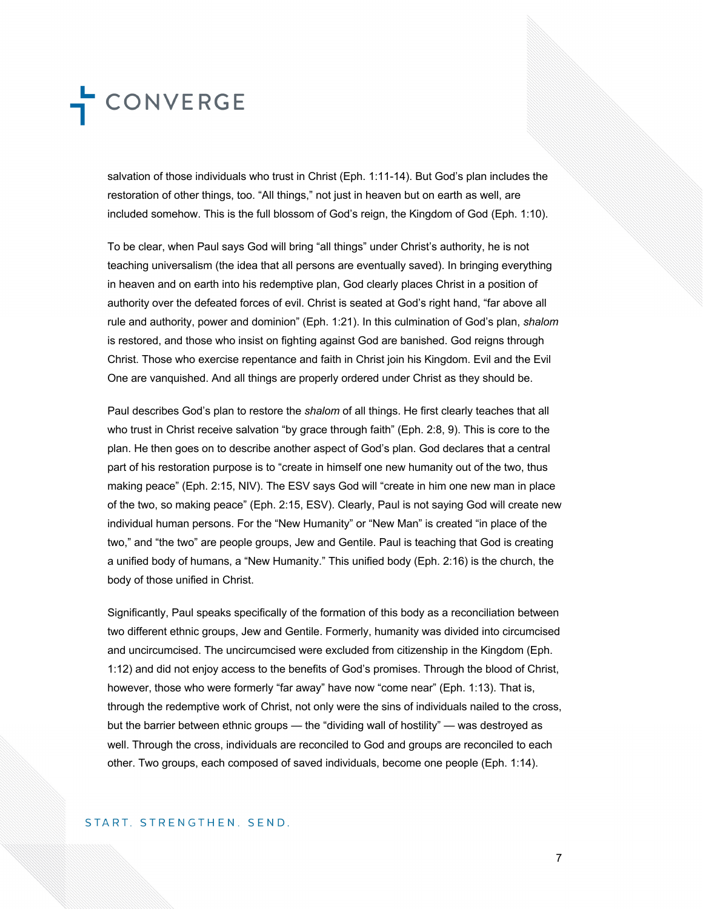salvation of those individuals who trust in Christ (Eph. 1:11-14). But God's plan includes the restoration of other things, too. "All things," not just in heaven but on earth as well, are included somehow. This is the full blossom of God's reign, the Kingdom of God (Eph. 1:10).

To be clear, when Paul says God will bring "all things" under Christ's authority, he is not teaching universalism (the idea that all persons are eventually saved). In bringing everything in heaven and on earth into his redemptive plan, God clearly places Christ in a position of authority over the defeated forces of evil. Christ is seated at God's right hand, "far above all rule and authority, power and dominion" (Eph. 1:21). In this culmination of God's plan, *shalom*  is restored, and those who insist on fighting against God are banished. God reigns through Christ. Those who exercise repentance and faith in Christ join his Kingdom. Evil and the Evil One are vanquished. And all things are properly ordered under Christ as they should be.

Paul describes God's plan to restore the *shalom* of all things. He first clearly teaches that all who trust in Christ receive salvation "by grace through faith" (Eph. 2:8, 9). This is core to the plan. He then goes on to describe another aspect of God's plan. God declares that a central part of his restoration purpose is to "create in himself one new humanity out of the two, thus making peace" (Eph. 2:15, NIV). The ESV says God will "create in him one new man in place of the two, so making peace" (Eph. 2:15, ESV). Clearly, Paul is not saying God will create new individual human persons. For the "New Humanity" or "New Man" is created "in place of the two," and "the two" are people groups, Jew and Gentile. Paul is teaching that God is creating a unified body of humans, a "New Humanity." This unified body (Eph. 2:16) is the church, the body of those unified in Christ.

Significantly, Paul speaks specifically of the formation of this body as a reconciliation between two different ethnic groups, Jew and Gentile. Formerly, humanity was divided into circumcised and uncircumcised. The uncircumcised were excluded from citizenship in the Kingdom (Eph. 1:12) and did not enjoy access to the benefits of God's promises. Through the blood of Christ, however, those who were formerly "far away" have now "come near" (Eph. 1:13). That is, through the redemptive work of Christ, not only were the sins of individuals nailed to the cross, but the barrier between ethnic groups — the "dividing wall of hostility" — was destroyed as well. Through the cross, individuals are reconciled to God and groups are reconciled to each other. Two groups, each composed of saved individuals, become one people (Eph. 1:14).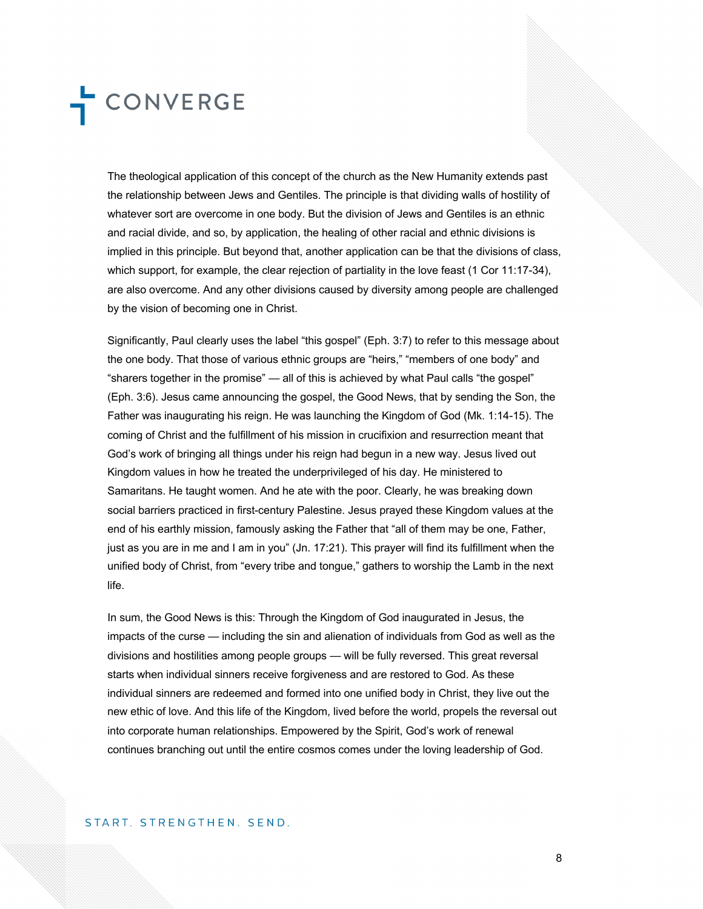The theological application of this concept of the church as the New Humanity extends past the relationship between Jews and Gentiles. The principle is that dividing walls of hostility of whatever sort are overcome in one body. But the division of Jews and Gentiles is an ethnic and racial divide, and so, by application, the healing of other racial and ethnic divisions is implied in this principle. But beyond that, another application can be that the divisions of class, which support, for example, the clear rejection of partiality in the love feast (1 Cor 11:17-34), are also overcome. And any other divisions caused by diversity among people are challenged by the vision of becoming one in Christ.

Significantly, Paul clearly uses the label "this gospel" (Eph. 3:7) to refer to this message about the one body. That those of various ethnic groups are "heirs," "members of one body" and "sharers together in the promise" — all of this is achieved by what Paul calls "the gospel" (Eph. 3:6). Jesus came announcing the gospel, the Good News, that by sending the Son, the Father was inaugurating his reign. He was launching the Kingdom of God (Mk. 1:14-15). The coming of Christ and the fulfillment of his mission in crucifixion and resurrection meant that God's work of bringing all things under his reign had begun in a new way. Jesus lived out Kingdom values in how he treated the underprivileged of his day. He ministered to Samaritans. He taught women. And he ate with the poor. Clearly, he was breaking down social barriers practiced in first-century Palestine. Jesus prayed these Kingdom values at the end of his earthly mission, famously asking the Father that "all of them may be one, Father, just as you are in me and I am in you" (Jn. 17:21). This prayer will find its fulfillment when the unified body of Christ, from "every tribe and tongue," gathers to worship the Lamb in the next life.

In sum, the Good News is this: Through the Kingdom of God inaugurated in Jesus, the impacts of the curse — including the sin and alienation of individuals from God as well as the divisions and hostilities among people groups — will be fully reversed. This great reversal starts when individual sinners receive forgiveness and are restored to God. As these individual sinners are redeemed and formed into one unified body in Christ, they live out the new ethic of love. And this life of the Kingdom, lived before the world, propels the reversal out into corporate human relationships. Empowered by the Spirit, God's work of renewal continues branching out until the entire cosmos comes under the loving leadership of God.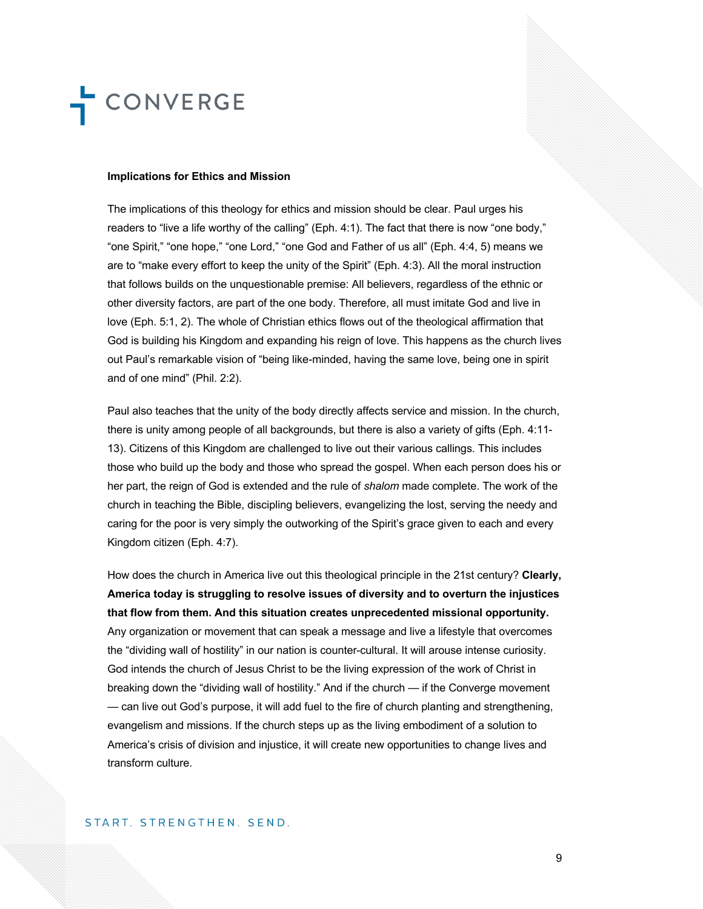#### **Implications for Ethics and Mission**

The implications of this theology for ethics and mission should be clear. Paul urges his readers to "live a life worthy of the calling" (Eph. 4:1). The fact that there is now "one body," "one Spirit," "one hope," "one Lord," "one God and Father of us all" (Eph. 4:4, 5) means we are to "make every effort to keep the unity of the Spirit" (Eph. 4:3). All the moral instruction that follows builds on the unquestionable premise: All believers, regardless of the ethnic or other diversity factors, are part of the one body. Therefore, all must imitate God and live in love (Eph. 5:1, 2). The whole of Christian ethics flows out of the theological affirmation that God is building his Kingdom and expanding his reign of love. This happens as the church lives out Paul's remarkable vision of "being like-minded, having the same love, being one in spirit and of one mind" (Phil. 2:2).

Paul also teaches that the unity of the body directly affects service and mission. In the church, there is unity among people of all backgrounds, but there is also a variety of gifts (Eph. 4:11- 13). Citizens of this Kingdom are challenged to live out their various callings. This includes those who build up the body and those who spread the gospel. When each person does his or her part, the reign of God is extended and the rule of *shalom* made complete. The work of the church in teaching the Bible, discipling believers, evangelizing the lost, serving the needy and caring for the poor is very simply the outworking of the Spirit's grace given to each and every Kingdom citizen (Eph. 4:7).

How does the church in America live out this theological principle in the 21st century? **Clearly, America today is struggling to resolve issues of diversity and to overturn the injustices that flow from them. And this situation creates unprecedented missional opportunity.**  Any organization or movement that can speak a message and live a lifestyle that overcomes the "dividing wall of hostility" in our nation is counter-cultural. It will arouse intense curiosity. God intends the church of Jesus Christ to be the living expression of the work of Christ in breaking down the "dividing wall of hostility." And if the church — if the Converge movement — can live out God's purpose, it will add fuel to the fire of church planting and strengthening, evangelism and missions. If the church steps up as the living embodiment of a solution to America's crisis of division and injustice, it will create new opportunities to change lives and transform culture.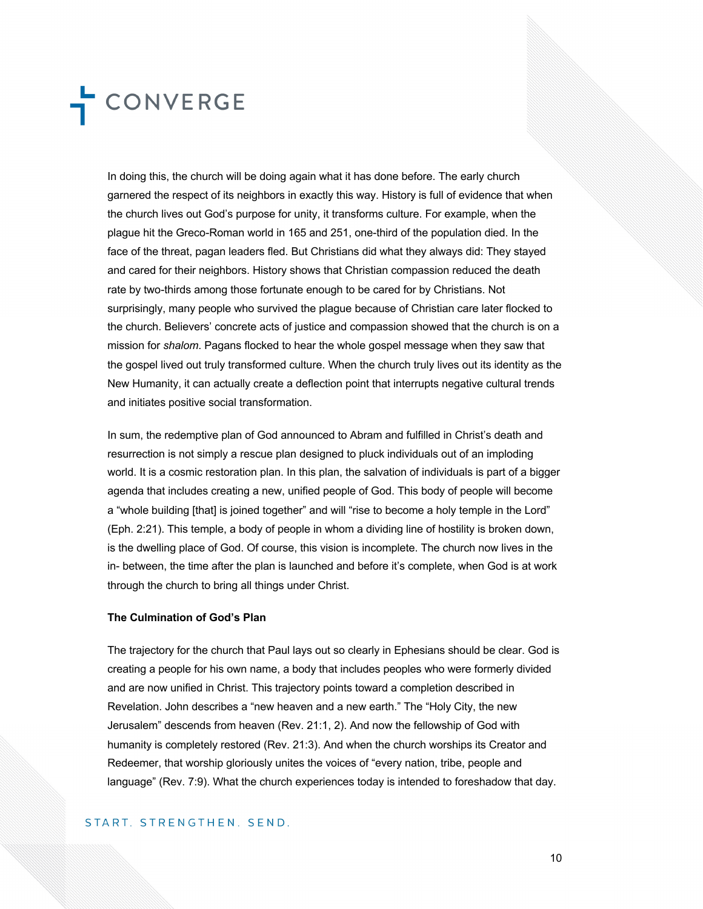In doing this, the church will be doing again what it has done before. The early church garnered the respect of its neighbors in exactly this way. History is full of evidence that when the church lives out God's purpose for unity, it transforms culture. For example, when the plague hit the Greco-Roman world in 165 and 251, one-third of the population died. In the face of the threat, pagan leaders fled. But Christians did what they always did: They stayed and cared for their neighbors. History shows that Christian compassion reduced the death rate by two-thirds among those fortunate enough to be cared for by Christians. Not surprisingly, many people who survived the plague because of Christian care later flocked to the church. Believers' concrete acts of justice and compassion showed that the church is on a mission for *shalom*. Pagans flocked to hear the whole gospel message when they saw that the gospel lived out truly transformed culture. When the church truly lives out its identity as the New Humanity, it can actually create a deflection point that interrupts negative cultural trends and initiates positive social transformation.

In sum, the redemptive plan of God announced to Abram and fulfilled in Christ's death and resurrection is not simply a rescue plan designed to pluck individuals out of an imploding world. It is a cosmic restoration plan. In this plan, the salvation of individuals is part of a bigger agenda that includes creating a new, unified people of God. This body of people will become a "whole building [that] is joined together" and will "rise to become a holy temple in the Lord" (Eph. 2:21). This temple, a body of people in whom a dividing line of hostility is broken down, is the dwelling place of God. Of course, this vision is incomplete. The church now lives in the in- between, the time after the plan is launched and before it's complete, when God is at work through the church to bring all things under Christ.

#### **The Culmination of God's Plan**

The trajectory for the church that Paul lays out so clearly in Ephesians should be clear. God is creating a people for his own name, a body that includes peoples who were formerly divided and are now unified in Christ. This trajectory points toward a completion described in Revelation. John describes a "new heaven and a new earth." The "Holy City, the new Jerusalem" descends from heaven (Rev. 21:1, 2). And now the fellowship of God with humanity is completely restored (Rev. 21:3). And when the church worships its Creator and Redeemer, that worship gloriously unites the voices of "every nation, tribe, people and language" (Rev. 7:9). What the church experiences today is intended to foreshadow that day.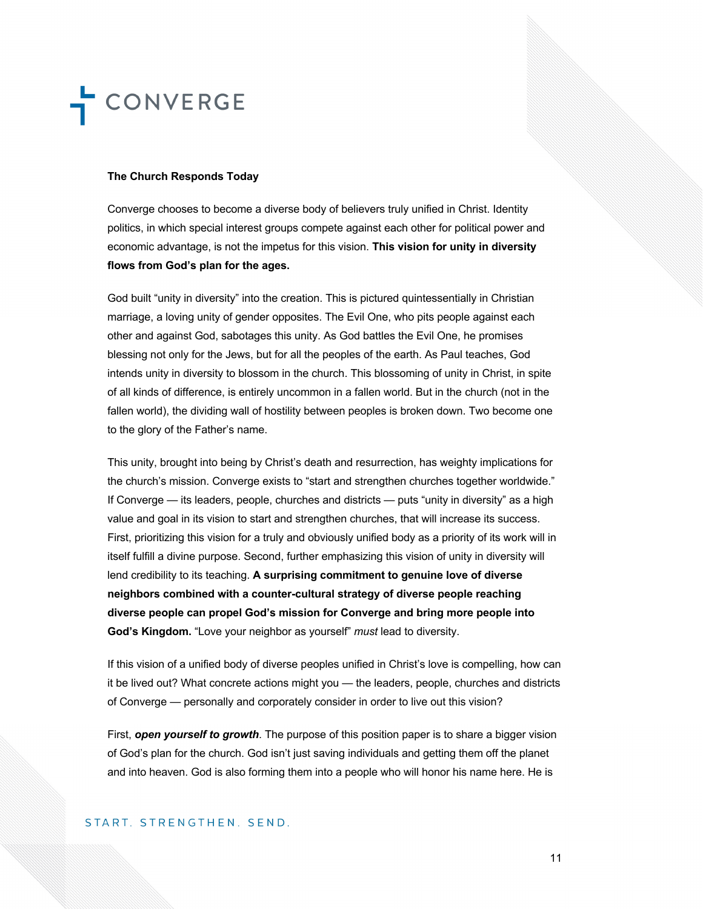#### **The Church Responds Today**

Converge chooses to become a diverse body of believers truly unified in Christ. Identity politics, in which special interest groups compete against each other for political power and economic advantage, is not the impetus for this vision. **This vision for unity in diversity flows from God's plan for the ages.** 

God built "unity in diversity" into the creation. This is pictured quintessentially in Christian marriage, a loving unity of gender opposites. The Evil One, who pits people against each other and against God, sabotages this unity. As God battles the Evil One, he promises blessing not only for the Jews, but for all the peoples of the earth. As Paul teaches, God intends unity in diversity to blossom in the church. This blossoming of unity in Christ, in spite of all kinds of difference, is entirely uncommon in a fallen world. But in the church (not in the fallen world), the dividing wall of hostility between peoples is broken down. Two become one to the glory of the Father's name.

This unity, brought into being by Christ's death and resurrection, has weighty implications for the church's mission. Converge exists to "start and strengthen churches together worldwide." If Converge — its leaders, people, churches and districts — puts "unity in diversity" as a high value and goal in its vision to start and strengthen churches, that will increase its success. First, prioritizing this vision for a truly and obviously unified body as a priority of its work will in itself fulfill a divine purpose. Second, further emphasizing this vision of unity in diversity will lend credibility to its teaching. **A surprising commitment to genuine love of diverse neighbors combined with a counter-cultural strategy of diverse people reaching diverse people can propel God's mission for Converge and bring more people into God's Kingdom.** "Love your neighbor as yourself" *must* lead to diversity.

If this vision of a unified body of diverse peoples unified in Christ's love is compelling, how can it be lived out? What concrete actions might you — the leaders, people, churches and districts of Converge — personally and corporately consider in order to live out this vision?

First, *open yourself to growth*. The purpose of this position paper is to share a bigger vision of God's plan for the church. God isn't just saving individuals and getting them off the planet and into heaven. God is also forming them into a people who will honor his name here. He is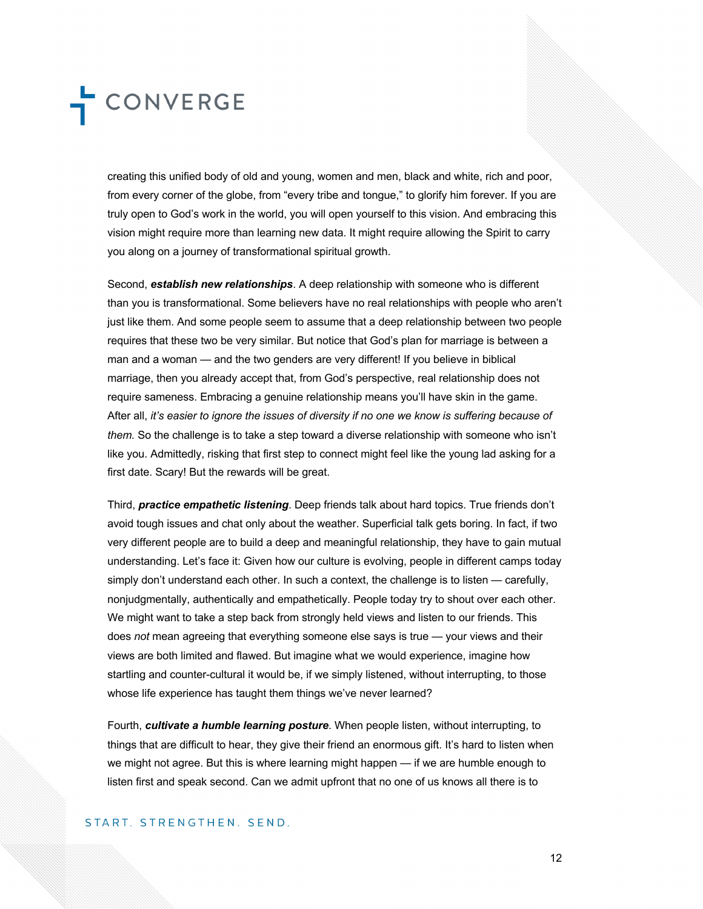creating this unified body of old and young, women and men, black and white, rich and poor, from every corner of the globe, from "every tribe and tongue," to glorify him forever. If you are truly open to God's work in the world, you will open yourself to this vision. And embracing this vision might require more than learning new data. It might require allowing the Spirit to carry you along on a journey of transformational spiritual growth.

Second, *establish new relationships*. A deep relationship with someone who is different than you is transformational. Some believers have no real relationships with people who aren't just like them. And some people seem to assume that a deep relationship between two people requires that these two be very similar. But notice that God's plan for marriage is between a man and a woman — and the two genders are very different! If you believe in biblical marriage, then you already accept that, from God's perspective, real relationship does not require sameness. Embracing a genuine relationship means you'll have skin in the game. After all, *it's easier to ignore the issues of diversity if no one we know is suffering because of them.* So the challenge is to take a step toward a diverse relationship with someone who isn't like you. Admittedly, risking that first step to connect might feel like the young lad asking for a first date. Scary! But the rewards will be great.

Third, *practice empathetic listening*. Deep friends talk about hard topics. True friends don't avoid tough issues and chat only about the weather. Superficial talk gets boring. In fact, if two very different people are to build a deep and meaningful relationship, they have to gain mutual understanding. Let's face it: Given how our culture is evolving, people in different camps today simply don't understand each other. In such a context, the challenge is to listen — carefully, nonjudgmentally, authentically and empathetically. People today try to shout over each other. We might want to take a step back from strongly held views and listen to our friends. This does *not* mean agreeing that everything someone else says is true — your views and their views are both limited and flawed. But imagine what we would experience, imagine how startling and counter-cultural it would be, if we simply listened, without interrupting, to those whose life experience has taught them things we've never learned?

Fourth, *cultivate a humble learning posture*. When people listen, without interrupting, to things that are difficult to hear, they give their friend an enormous gift. It's hard to listen when we might not agree. But this is where learning might happen — if we are humble enough to listen first and speak second. Can we admit upfront that no one of us knows all there is to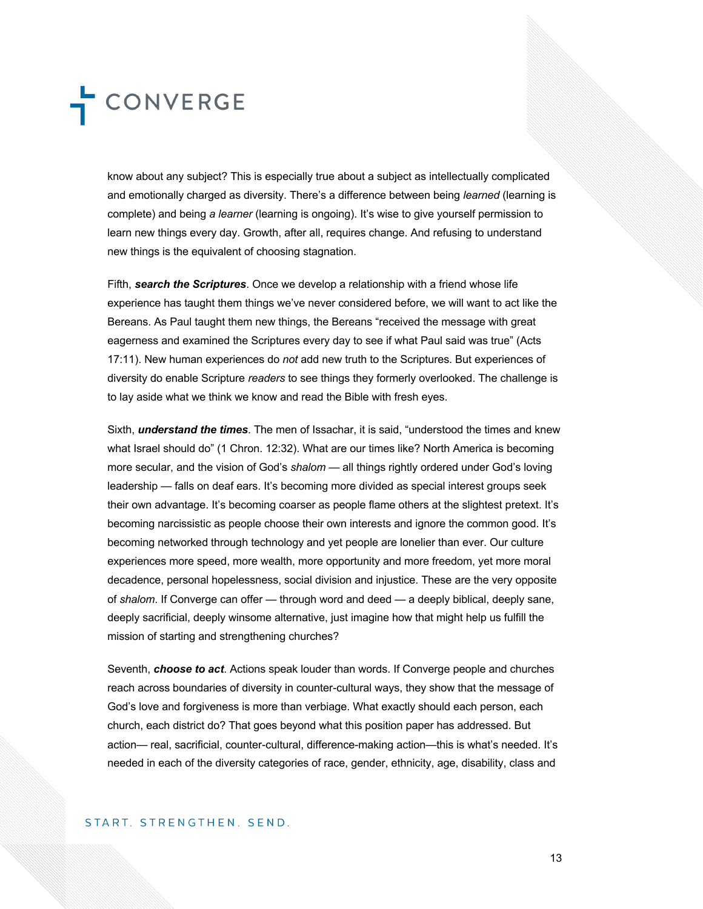know about any subject? This is especially true about a subject as intellectually complicated and emotionally charged as diversity. There's a difference between being *learned* (learning is complete) and being *a learner* (learning is ongoing). It's wise to give yourself permission to learn new things every day. Growth, after all, requires change. And refusing to understand new things is the equivalent of choosing stagnation.

Fifth, *search the Scriptures*. Once we develop a relationship with a friend whose life experience has taught them things we've never considered before, we will want to act like the Bereans. As Paul taught them new things, the Bereans "received the message with great eagerness and examined the Scriptures every day to see if what Paul said was true" (Acts 17:11). New human experiences do *not* add new truth to the Scriptures. But experiences of diversity do enable Scripture *readers* to see things they formerly overlooked. The challenge is to lay aside what we think we know and read the Bible with fresh eyes.

Sixth, *understand the times*. The men of Issachar, it is said, "understood the times and knew what Israel should do" (1 Chron. 12:32). What are our times like? North America is becoming more secular, and the vision of God's *shalom* — all things rightly ordered under God's loving leadership — falls on deaf ears. It's becoming more divided as special interest groups seek their own advantage. It's becoming coarser as people flame others at the slightest pretext. It's becoming narcissistic as people choose their own interests and ignore the common good. It's becoming networked through technology and yet people are lonelier than ever. Our culture experiences more speed, more wealth, more opportunity and more freedom, yet more moral decadence, personal hopelessness, social division and injustice. These are the very opposite of *shalom*. If Converge can offer — through word and deed — a deeply biblical, deeply sane, deeply sacrificial, deeply winsome alternative, just imagine how that might help us fulfill the mission of starting and strengthening churches?

Seventh, *choose to act*. Actions speak louder than words. If Converge people and churches reach across boundaries of diversity in counter-cultural ways, they show that the message of God's love and forgiveness is more than verbiage. What exactly should each person, each church, each district do? That goes beyond what this position paper has addressed. But action— real, sacrificial, counter-cultural, difference-making action—this is what's needed. It's needed in each of the diversity categories of race, gender, ethnicity, age, disability, class and